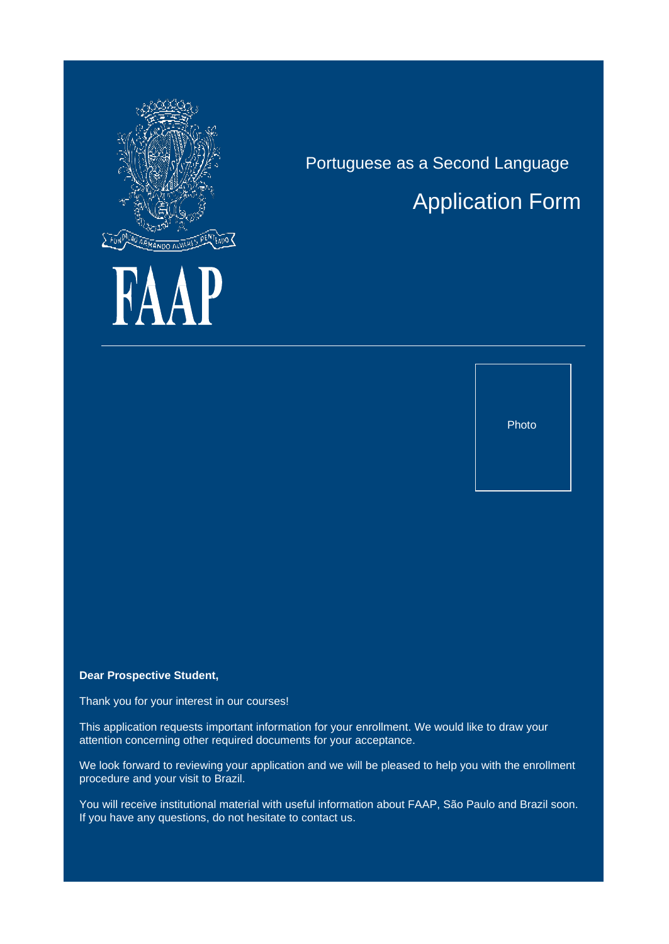

K

# Application Form

Portuguese as a Second Language

Photo

**Dear Prospective Student,**

Thank you for your interest in our courses!

This application requests important information for your enrollment. We would like to draw your attention concerning other required documents for your acceptance.

We look forward to reviewing your application and we will be pleased to help you with the enrollment procedure and your visit to Brazil.

You will receive institutional material with useful information about FAAP, São Paulo and Brazil soon. If you have any questions, do not hesitate to contact us.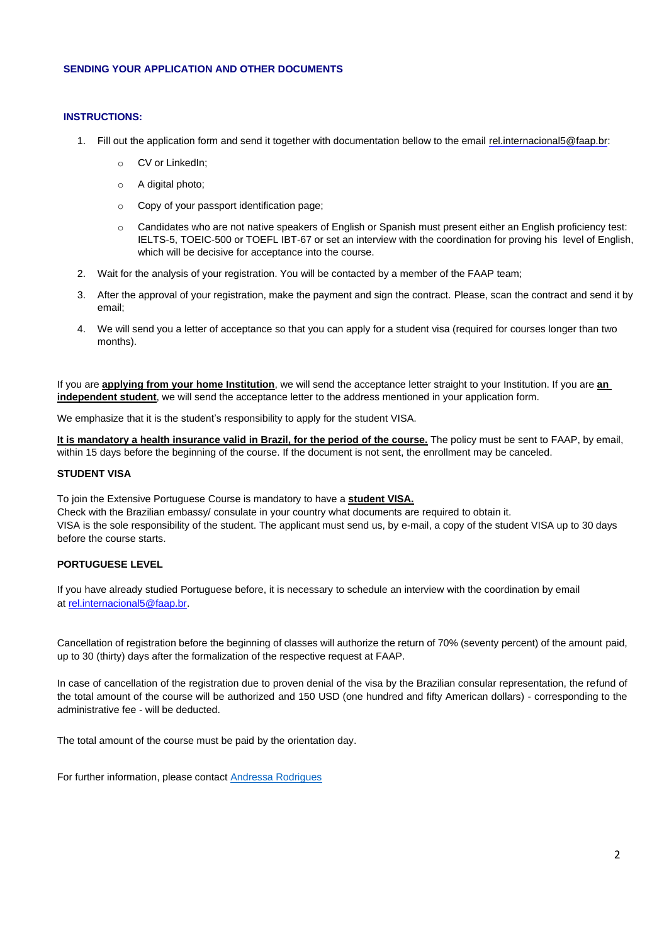## **SENDING YOUR APPLICATION AND OTHER DOCUMENTS**

### **INSTRUCTIONS:**

- 1. Fill out the application form and send it together with documentation bellow to the email [rel.internacional5@faap.br:](mailto:rel.internacional5@faap.br)
	- o CV or LinkedIn;
	- o A digital photo;
	- o Copy of your passport identification page;
	- o Candidates who are not native speakers of English or Spanish must present either an English proficiency test: IELTS-5, TOEIC-500 or TOEFL IBT-67 or set an interview with the coordination for proving his level of English, which will be decisive for acceptance into the course.
- 2. Wait for the analysis of your registration. You will be contacted by a member of the FAAP team;
- 3. After the approval of your registration, make the payment and sign the contract. Please, scan the contract and send it by email;
- 4. We will send you a letter of acceptance so that you can apply for a student visa (required for courses longer than two months).

If you are **applying from your home Institution**, we will send the acceptance letter straight to your Institution. If you are **an independent student**, we will send the acceptance letter to the address mentioned in your application form.

We emphasize that it is the student's responsibility to apply for the student VISA.

It is mandatory a health insurance valid in Brazil, for the period of the course. The policy must be sent to FAAP, by email, within 15 days before the beginning of the course. If the document is not sent, the enrollment may be canceled.

#### **STUDENT VISA**

To join the Extensive Portuguese Course is mandatory to have a **student VISA.**

Check with the Brazilian embassy/ consulate in your country what documents are required to obtain it. VISA is the sole responsibility of the student. The applicant must send us, by e-mail, a copy of the student VISA up to 30 days before the course starts.

# **PORTUGUESE LEVEL**

If you have already studied Portuguese before, it is necessary to schedule an interview with the coordination by email at [rel.internacional5@faap.br.](mailto:rel.internacional5@faap.br)

Cancellation of registration before the beginning of classes will authorize the return of 70% (seventy percent) of the amount paid, up to 30 (thirty) days after the formalization of the respective request at FAAP.

In case of cancellation of the registration due to proven denial of the visa by the Brazilian consular representation, the refund of the total amount of the course will be authorized and 150 USD (one hundred and fifty American dollars) - corresponding to the administrative fee - will be deducted.

The total amount of the course must be paid by the orientation day.

For further information, please contact [Andressa Rodrigues](mailto:rel.internacional5@faap.br)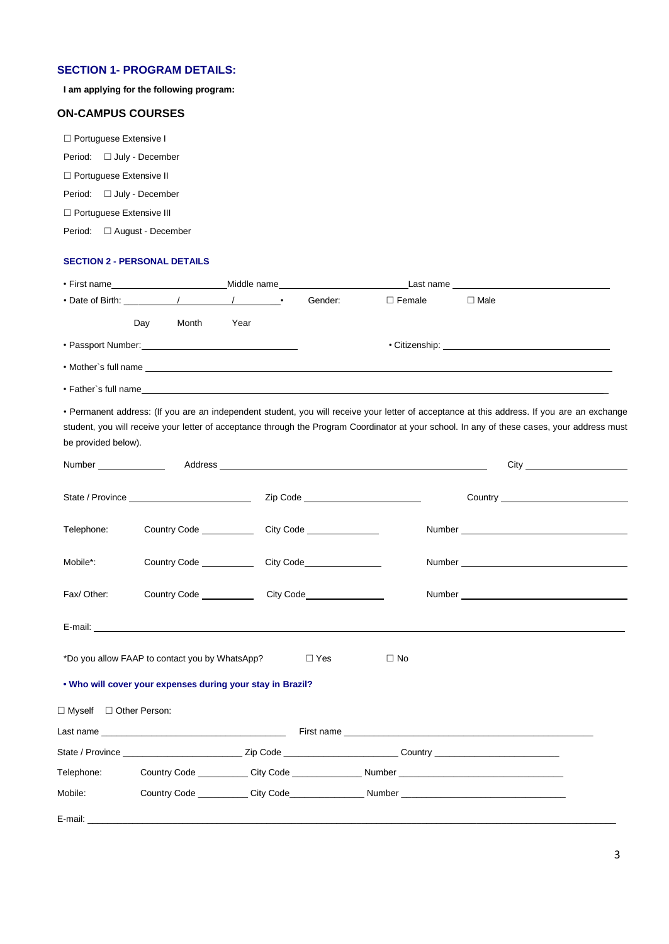# **SECTION 1- PROGRAM DETAILS:**

**I am applying for the following program:**

# **ON-CAMPUS COURSES**

□ Portuguese Extensive I Period: □ July - December □ Portuguese Extensive II Period: □ July - December □ Portuguese Extensive III Period:  $\square$  August - December

#### **SECTION 2 - PERSONAL DETAILS**

| • First name                                                                                                                                                                                                                   |     | the control of the control of the control of                                    |      | Middle name________________________ |               |             |
|--------------------------------------------------------------------------------------------------------------------------------------------------------------------------------------------------------------------------------|-----|---------------------------------------------------------------------------------|------|-------------------------------------|---------------|-------------|
|                                                                                                                                                                                                                                |     |                                                                                 |      | Gender:                             | $\Box$ Female | $\Box$ Male |
|                                                                                                                                                                                                                                | Day | Month                                                                           | Year |                                     |               |             |
| • Passport Number: 1990 1991                                                                                                                                                                                                   |     |                                                                                 |      |                                     |               |             |
| • Mother's full name that the state of the state of the state of the state of the state of the state of the state of the state of the state of the state of the state of the state of the state of the state of the state of t |     |                                                                                 |      |                                     |               |             |
| • Father's full name                                                                                                                                                                                                           |     | the contract of the contract of the contract of the contract of the contract of |      |                                     |               |             |

• Permanent address: (If you are an independent student, you will receive your letter of acceptance at this address. If you are an exchange student, you will receive your letter of acceptance through the Program Coordinator at your school. In any of these cases, your address must be provided below).

|                                                                              |  |  | Zip Code ___________________________                                                                           |  |  |  |  |
|------------------------------------------------------------------------------|--|--|----------------------------------------------------------------------------------------------------------------|--|--|--|--|
| Telephone:                                                                   |  |  |                                                                                                                |  |  |  |  |
| Mobile*:                                                                     |  |  |                                                                                                                |  |  |  |  |
| Fax/Other:                                                                   |  |  | Number and the contract of the contract of the contract of the contract of the contract of the contract of the |  |  |  |  |
|                                                                              |  |  |                                                                                                                |  |  |  |  |
| *Do you allow FAAP to contact you by WhatsApp?<br>$\square$ Yes<br>$\Box$ No |  |  |                                                                                                                |  |  |  |  |
| . Who will cover your expenses during your stay in Brazil?                   |  |  |                                                                                                                |  |  |  |  |
| □ Myself □ Other Person:                                                     |  |  |                                                                                                                |  |  |  |  |
|                                                                              |  |  |                                                                                                                |  |  |  |  |
|                                                                              |  |  |                                                                                                                |  |  |  |  |
|                                                                              |  |  |                                                                                                                |  |  |  |  |
| Mobile:                                                                      |  |  |                                                                                                                |  |  |  |  |
|                                                                              |  |  |                                                                                                                |  |  |  |  |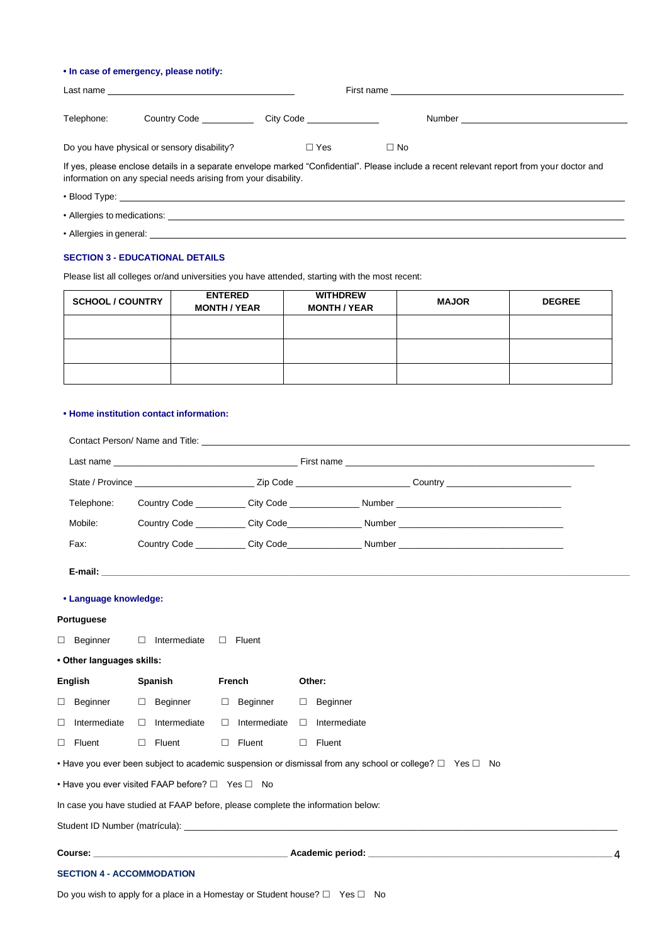### **• In case of emergency, please notify:**

| Last name                                                                                                                                                                                                   |                                             |            | First name |                                                                                                                |  |  |
|-------------------------------------------------------------------------------------------------------------------------------------------------------------------------------------------------------------|---------------------------------------------|------------|------------|----------------------------------------------------------------------------------------------------------------|--|--|
| Telephone:                                                                                                                                                                                                  | Country Code Country                        |            |            | Number and the contract of the contract of the contract of the contract of the contract of the contract of the |  |  |
|                                                                                                                                                                                                             | Do you have physical or sensory disability? | $\Box$ Yes | $\Box$ No  |                                                                                                                |  |  |
| If yes, please enclose details in a separate envelope marked "Confidential". Please include a recent relevant report from your doctor and<br>information on any special needs arising from your disability. |                                             |            |            |                                                                                                                |  |  |

- Blood Type: \_\_\_\_\_\_\_\_\_\_
- Allergies to medications:
- Allergies in general: \_\_\_\_\_\_\_\_\_\_\_\_\_\_\_\_

### **SECTION 3 - EDUCATIONAL DETAILS**

Please list all colleges or/and universities you have attended, starting with the most recent:

| <b>SCHOOL / COUNTRY</b> | <b>ENTERED</b><br><b>MONTH / YEAR</b> | <b>WITHDREW</b><br><b>MONTH / YEAR</b> | <b>MAJOR</b> | <b>DEGREE</b> |
|-------------------------|---------------------------------------|----------------------------------------|--------------|---------------|
|                         |                                       |                                        |              |               |
|                         |                                       |                                        |              |               |
|                         |                                       |                                        |              |               |

#### **• Home institution contact information:**

| Telephone:                       |                                                                                 |                     |        | Country Code City Code Number Number Number                                                                       |   |
|----------------------------------|---------------------------------------------------------------------------------|---------------------|--------|-------------------------------------------------------------------------------------------------------------------|---|
| Mobile:                          |                                                                                 |                     |        |                                                                                                                   |   |
| Fax:                             |                                                                                 |                     |        |                                                                                                                   |   |
|                                  |                                                                                 |                     |        |                                                                                                                   |   |
| • Language knowledge:            |                                                                                 |                     |        |                                                                                                                   |   |
| Portuguese                       |                                                                                 |                     |        |                                                                                                                   |   |
| $\Box$ Beginner                  | $\Box$ Intermediate                                                             | $\Box$<br>Fluent    |        |                                                                                                                   |   |
| • Other languages skills:        |                                                                                 |                     |        |                                                                                                                   |   |
| English                          | Spanish                                                                         | French              |        | Other:                                                                                                            |   |
| Beginner                         | $\Box$ Beginner                                                                 | □ Beginner          | $\Box$ | Beginner                                                                                                          |   |
| $\Box$<br>Intermediate           | Intermediate<br>$\Box$                                                          | $\Box$ Intermediate | $\Box$ | Intermediate                                                                                                      |   |
| $\Box$ Fluent                    | $\Box$ Fluent                                                                   | $\Box$ Fluent       | $\Box$ | Fluent                                                                                                            |   |
|                                  |                                                                                 |                     |        | • Have you ever been subject to academic suspension or dismissal from any school or college? $\Box$ Yes $\Box$ No |   |
|                                  | • Have you ever visited FAAP before? $\Box$ Yes $\Box$ No                       |                     |        |                                                                                                                   |   |
|                                  | In case you have studied at FAAP before, please complete the information below: |                     |        |                                                                                                                   |   |
|                                  |                                                                                 |                     |        |                                                                                                                   |   |
|                                  |                                                                                 |                     |        |                                                                                                                   | 4 |
| <b>SECTION 4 - ACCOMMODATION</b> |                                                                                 |                     |        |                                                                                                                   |   |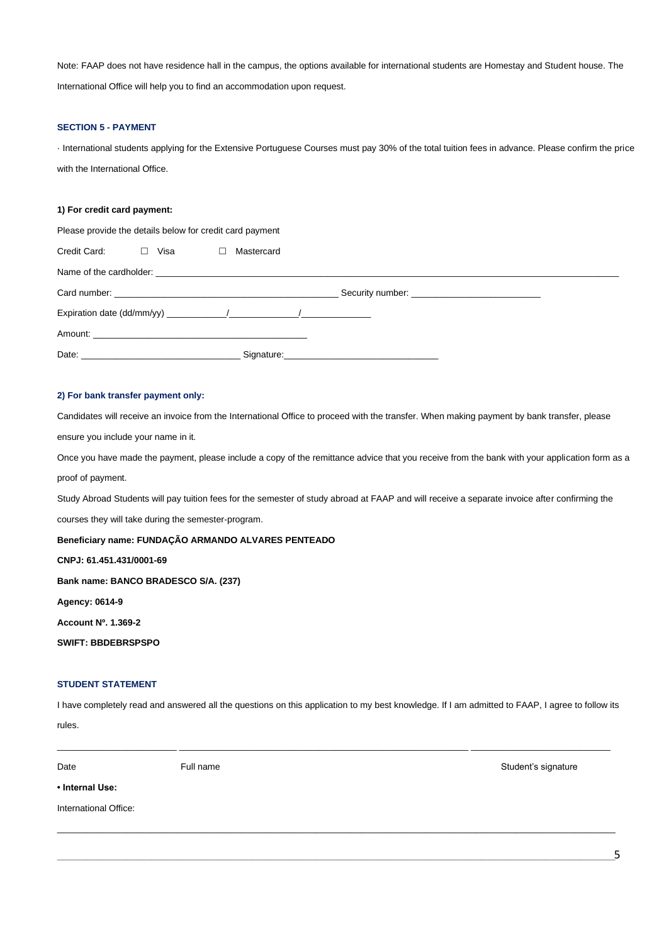Note: FAAP does not have residence hall in the campus, the options available for international students are Homestay and Student house. The International Office will help you to find an accommodation upon request.

#### **SECTION 5 - PAYMENT**

· International students applying for the Extensive Portuguese Courses must pay 30% of the total tuition fees in advance. Please confirm the price with the International Office.

#### **1) For credit card payment:**

Please provide the details below for credit card payment

| Credit Card: | $\Box$ Visa $\Box$ | Mastercard |  |
|--------------|--------------------|------------|--|
|              |                    |            |  |
|              |                    |            |  |
|              |                    |            |  |
|              |                    |            |  |
|              |                    |            |  |

#### **2) For bank transfer payment only:**

Candidates will receive an invoice from the International Office to proceed with the transfer. When making payment by bank transfer, please

ensure you include your name in it.

Once you have made the payment, please include a copy of the remittance advice that you receive from the bank with your application form as a proof of payment.

Study Abroad Students will pay tuition fees for the semester of study abroad at FAAP and will receive a separate invoice after confirming the

courses they will take during the semester-program.

**Beneficiary name: FUNDAÇÃO ARMANDO ALVARES PENTEADO** 

**CNPJ: 61.451.431/0001-69** 

**Bank name: BANCO BRADESCO S/A. (237)** 

**Agency: 0614-9** 

**Account Nº. 1.369-2** 

**SWIFT: BBDEBRSPSPO** 

## **STUDENT STATEMENT**

I have completely read and answered all the questions on this application to my best knowledge. If I am admitted to FAAP, I agree to follow its

\_\_\_\_\_\_\_\_\_\_\_\_\_\_\_\_\_\_\_\_\_\_\_\_ \_\_\_\_\_\_\_\_\_\_\_\_\_\_\_\_\_\_\_\_\_\_\_\_\_\_\_\_\_\_\_\_\_\_\_\_\_\_\_\_\_\_\_\_\_\_\_\_\_\_\_\_\_\_\_\_\_\_ \_\_\_\_\_\_\_\_\_\_\_\_\_\_\_\_\_\_\_\_\_\_\_\_\_\_\_\_

\_\_\_\_\_\_\_\_\_\_\_\_\_\_\_\_\_\_\_\_\_\_\_\_\_\_\_\_\_\_\_\_\_\_\_\_\_\_\_\_\_\_\_\_\_\_\_\_\_\_\_\_\_\_\_\_\_\_\_\_\_\_\_\_\_\_\_\_\_\_\_\_\_\_\_\_\_\_\_\_\_\_\_\_\_\_\_\_\_\_\_\_\_\_\_\_\_\_\_\_\_\_\_\_\_\_\_\_\_\_\_\_

rules.

**• Internal Use:** 

International Office:

Date **Full name Full name Full name Student's signature Student's signature**